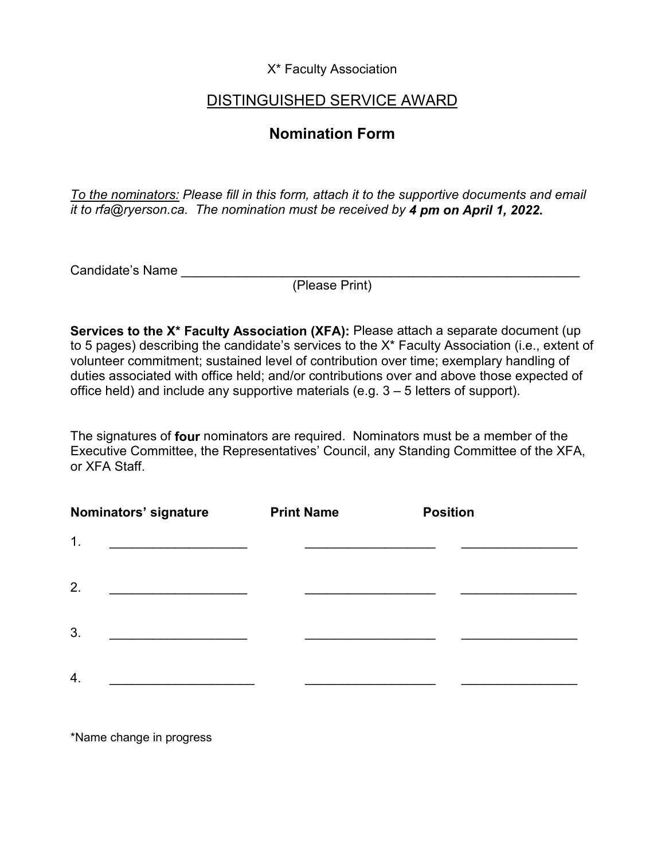X\* Faculty Association

## DISTINGUISHED SERVICE AWARD

## **Nomination Form**

*To the nominators: Please fill in this form, attach it to the supportive documents and email it to rfa@ryerson.ca. The nomination must be received by 4 pm on April 1, 2022.*

Candidate's Name

(Please Print)

**Services to the X\* Faculty Association (XFA):** Please attach a separate document (up to 5 pages) describing the candidate's services to the X\* Faculty Association (i.e., extent of volunteer commitment; sustained level of contribution over time; exemplary handling of duties associated with office held; and/or contributions over and above those expected of office held) and include any supportive materials (e.g. 3 – 5 letters of support).

The signatures of **four** nominators are required. Nominators must be a member of the Executive Committee, the Representatives' Council, any Standing Committee of the XFA, or XFA Staff.

| Nominators' signature | <b>Print Name</b> | <b>Position</b> |
|-----------------------|-------------------|-----------------|
| 1.                    |                   |                 |
| 2.                    |                   |                 |
| 3.                    |                   |                 |
| $\overline{4}$ .      |                   |                 |

\*Name change in progress